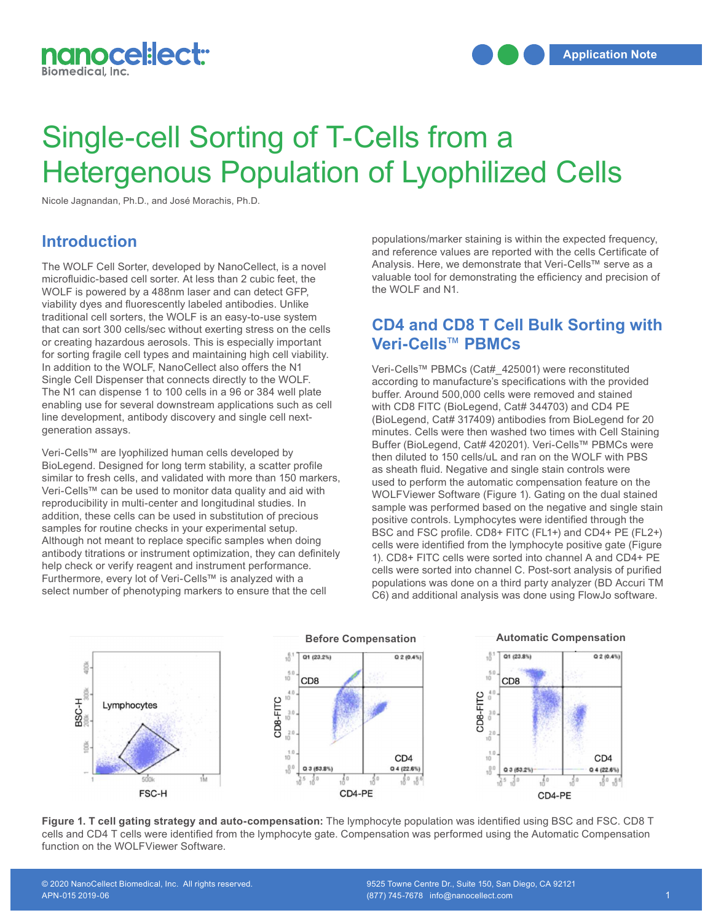

# Single-cell Sorting of T-Cells from a Hetergenous Population of Lyophilized Cells

Nicole Jagnandan, Ph.D., and José Morachis, Ph.D.

#### **Introduction**

The WOLF Cell Sorter, developed by NanoCellect, is a novel microfluidic-based cell sorter. At less than 2 cubic feet, the WOLF is powered by a 488nm laser and can detect GFP, viability dyes and fluorescently labeled antibodies. Unlike traditional cell sorters, the WOLF is an easy-to-use system that can sort 300 cells/sec without exerting stress on the cells or creating hazardous aerosols. This is especially important for sorting fragile cell types and maintaining high cell viability. In addition to the WOLF, NanoCellect also offers the N1 Single Cell Dispenser that connects directly to the WOLF. The N1 can dispense 1 to 100 cells in a 96 or 384 well plate enabling use for several downstream applications such as cell line development, antibody discovery and single cell nextgeneration assays.

Veri-Cells™ are lyophilized human cells developed by BioLegend. Designed for long term stability, a scatter profile similar to fresh cells, and validated with more than 150 markers, Veri-Cells™ can be used to monitor data quality and aid with reproducibility in multi-center and longitudinal studies. In addition, these cells can be used in substitution of precious samples for routine checks in your experimental setup. Although not meant to replace specific samples when doing antibody titrations or instrument optimization, they can definitely help check or verify reagent and instrument performance. Furthermore, every lot of Veri-Cells™ is analyzed with a select number of phenotyping markers to ensure that the cell

populations/marker staining is within the expected frequency, and reference values are reported with the cells Certificate of Analysis. Here, we demonstrate that Veri-Cells™ serve as a valuable tool for demonstrating the efficiency and precision of the WOLF and N1.

## **CD4 and CD8 T Cell Bulk Sorting with Veri-Cells**™ **PBMCs**

Veri-Cells™ PBMCs (Cat#\_425001) were reconstituted according to manufacture's specifications with the provided buffer. Around 500,000 cells were removed and stained with CD8 FITC (BioLegend, Cat# 344703) and CD4 PE (BioLegend, Cat# 317409) antibodies from BioLegend for 20 minutes. Cells were then washed two times with Cell Staining Buffer (BioLegend, Cat# 420201). Veri-Cells™ PBMCs were then diluted to 150 cells/uL and ran on the WOLF with PBS as sheath fluid. Negative and single stain controls were used to perform the automatic compensation feature on the WOLFViewer Software (Figure 1). Gating on the dual stained sample was performed based on the negative and single stain positive controls. Lymphocytes were identified through the BSC and FSC profile. CD8+ FITC (FL1+) and CD4+ PE (FL2+) cells were identified from the lymphocyte positive gate (Figure 1). CD8+ FITC cells were sorted into channel A and CD4+ PE cells were sorted into channel C. Post-sort analysis of purified populations was done on a third party analyzer (BD Accuri TM C6) and additional analysis was done using FlowJo software.



**Figure 1. T cell gating strategy and auto-compensation:** The lymphocyte population was identified using BSC and FSC. CD8 T cells and CD4 T cells were identified from the lymphocyte gate. Compensation was performed using the Automatic Compensation function on the WOLFViewer Software.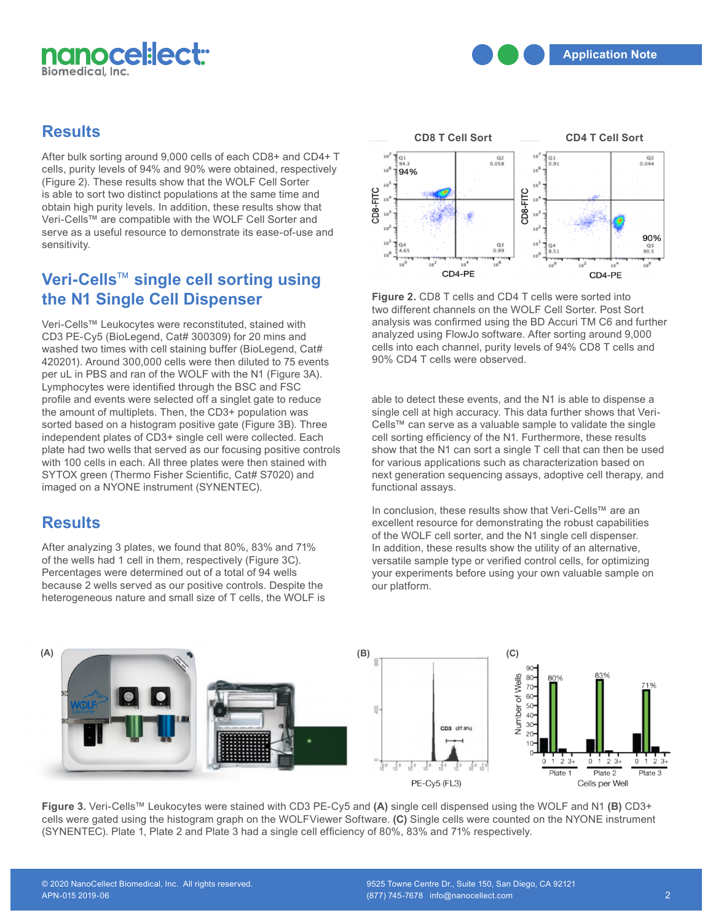

## **Results**

After bulk sorting around 9,000 cells of each CD8+ and CD4+ T cells, purity levels of 94% and 90% were obtained, respectively (Figure 2). These results show that the WOLF Cell Sorter is able to sort two distinct populations at the same time and obtain high purity levels. In addition, these results show that Veri-Cells™ are compatible with the WOLF Cell Sorter and serve as a useful resource to demonstrate its ease-of-use and sensitivity.

# **Veri-Cells**™ **single cell sorting using the N1 Single Cell Dispenser**

Veri-Cells™ Leukocytes were reconstituted, stained with CD3 PE-Cy5 (BioLegend, Cat# 300309) for 20 mins and washed two times with cell staining buffer (BioLegend, Cat# 420201). Around 300,000 cells were then diluted to 75 events per uL in PBS and ran of the WOLF with the N1 (Figure 3A). Lymphocytes were identified through the BSC and FSC profile and events were selected off a singlet gate to reduce the amount of multiplets. Then, the CD3+ population was sorted based on a histogram positive gate (Figure 3B). Three independent plates of CD3+ single cell were collected. Each plate had two wells that served as our focusing positive controls with 100 cells in each. All three plates were then stained with SYTOX green (Thermo Fisher Scientific, Cat# S7020) and imaged on a NYONE instrument (SYNENTEC). The functional assainance on a NYONE instrument (SYNENTEC).

## **Results**

After analyzing 3 plates, we found that 80%, 83% and 71% of the wells had 1 cell in them, respectively (Figure 3C). Percentages were determined out of a total of 94 wells because 2 wells served as our positive controls. Despite the heterogeneous nature and small size of T cells, the WOLF is



**Figure 2.** CD8 T cells and CD4 T cells were sorted into two different channels on the WOLF Cell Sorter. Post Sort analysis was confirmed using the BD Accuri TM C6 and further analyzed using FlowJo software. After sorting around 9,000 cells into each channel, purity levels of 94% CD8 T cells and 90% CD4 T cells were observed.

able to detect these events, and the N1 is able to dispense a single cell at high accuracy. This data further shows that Veri-Cells™ can serve as a valuable sample to validate the single cell sorting efficiency of the N1. Furthermore, these results show that the N1 can sort a single T cell that can then be used for various applications such as characterization based on next generation sequencing assays, adoptive cell therapy, and functional assays.

In conclusion, these results show that Veri-Cells™ are an excellent resource for demonstrating the robust capabilities of the WOLF cell sorter, and the N1 single cell dispenser. In addition, these results show the utility of an alternative, versatile sample type or verified control cells, for optimizing your experiments before using your own valuable sample on our platform.



**Figure 3.** Veri-Cells™ Leukocytes were stained with CD3 PE-Cy5 and **(A)** single cell dispensed using the WOLF and N1 **(B)** CD3+ cells were gated using the histogram graph on the WOLFViewer Software. **(C)** Single cells were counted on the NYONE instrument **,** (SYNENTEC). Plate 1, Plate 2 and Plate 3 had a single cell efficiency of 80%, 83% and 71% respectively.